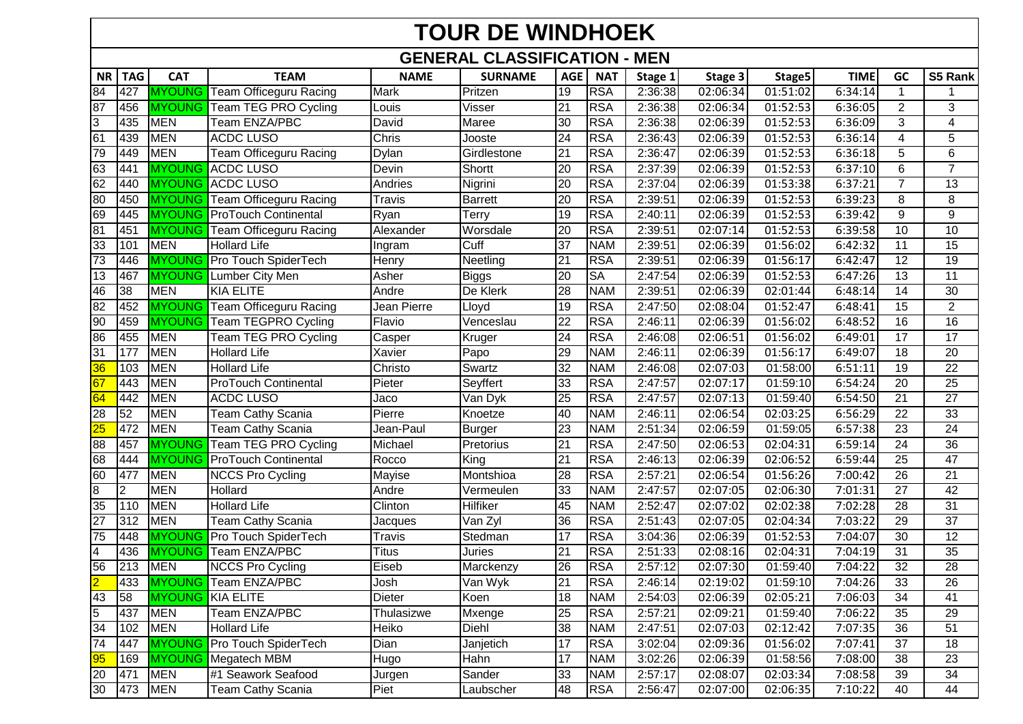## **TOUR DE WINDHOEK**

## **GENERAL CLASSIFICATION - MEN**

|                 | <b>TAG</b> | <b>CAT</b>              | <b>TEAM</b>                           | <b>NAME</b> | <b>SURNAME</b> | <b>AGE</b> |            |         |                      |          | <b>TIME</b> | GC              | S5 Rank             |
|-----------------|------------|-------------------------|---------------------------------------|-------------|----------------|------------|------------|---------|----------------------|----------|-------------|-----------------|---------------------|
| <b>NR</b>       |            |                         |                                       |             |                |            | <b>NAT</b> | Stage 1 | Stage 3              | Stage5   |             |                 |                     |
| 84              | 427        | <b>MYOUNG</b>           | Team Officeguru Racing                | Mark        | Pritzen        | 19         | <b>RSA</b> | 2:36:38 | 02:06:34             | 01:51:02 | 6:34:14     | $\mathbf{1}$    |                     |
| 87              | 456        | <b>MYOUNG</b>           | Team TEG PRO Cycling<br>Team ENZA/PBC | Louis       | Visser         | 21         | <b>RSA</b> | 2:36:38 | 02:06:34             | 01:52:53 | 6:36:05     | $\overline{2}$  | 3                   |
| 3               | 435        | <b>MEN</b>              |                                       | David       | Maree          | 30         | <b>RSA</b> | 2:36:38 | 02:06:39             | 01:52:53 | 6:36:09     | 3               | 4                   |
| 61              | 439        | <b>MEN</b>              | <b>ACDC LUSO</b>                      | Chris       | Jooste         | 24         | <b>RSA</b> | 2:36:43 | 02:06:39             | 01:52:53 | 6:36:14     | 4               | 5                   |
| 79              | 449        | <b>MEN</b>              | Team Officeguru Racing                | Dylan       | Girdlestone    | 21         | <b>RSA</b> | 2:36:47 | 02:06:39             | 01:52:53 | 6:36:18     | 5               | 6<br>$\overline{7}$ |
| 63              | 441        |                         | <b>MYOUNG</b> ACDC LUSO               | Devin       | Shortt         | 20         | <b>RSA</b> | 2:37:39 | 02:06:39             | 01:52:53 | 6:37:10     | 6               |                     |
| 62<br>80        | 440        |                         | <b>MYOUNG ACDC LUSO</b>               | Andries     | Nigrini        | 20         | <b>RSA</b> | 2:37:04 | 02:06:39<br>02:06:39 | 01:53:38 | 6:37:21     | $\overline{7}$  | $\overline{13}$     |
|                 | 450        |                         | <b>MYOUNG</b> Team Officeguru Racing  | Travis      | <b>Barrett</b> | 20         | <b>RSA</b> | 2:39:51 |                      | 01:52:53 | 6:39:23     | 8               | 8                   |
| 69              | 445        |                         | <b>MYOUNG</b> ProTouch Continental    | Ryan        | Terry          | 19         | <b>RSA</b> | 2:40:11 | 02:06:39             | 01:52:53 | 6:39:42     | 9               | 9                   |
| 81              | 451        |                         | <b>MYOUNG</b> Team Officeguru Racing  | Alexander   | Worsdale       | 20         | <b>RSA</b> | 2:39:51 | 02:07:14             | 01:52:53 | 6:39:58     | 10              | $\overline{10}$     |
| 33              | 101        | <b>MEN</b>              | <b>Hollard Life</b>                   | Ingram      | Cuff           | 37         | <b>NAM</b> | 2:39:51 | 02:06:39             | 01:56:02 | 6:42:32     | 11              | 15                  |
| 73              | 446        |                         | MYOUNG Pro Touch SpiderTech           | Henry       | Neetling       | 21         | <b>RSA</b> | 2:39:51 | 02:06:39             | 01:56:17 | 6:42:47     | 12              | 19<br>11            |
| 13              | 467        | <b>MYOUNG</b>           | Lumber City Men                       | Asher       | <b>Biggs</b>   | 20         | SA         | 2:47:54 | 02:06:39             | 01:52:53 | 6:47:26     | $\overline{13}$ |                     |
| 46              | 38         | <b>MEN</b>              | <b>KIA ELITE</b>                      | Andre       | De Klerk       | 28         | <b>NAM</b> | 2:39:51 | 02:06:39             | 02:01:44 | 6:48:14     | 14              | 30                  |
| $\overline{82}$ | 452        |                         | MYOUNG Team Officeguru Racing         | Jean Pierre | Lloyd          | 19         | <b>RSA</b> | 2:47:50 | 02:08:04             | 01:52:47 | 6:48:41     | 15              | $\overline{2}$      |
| 90              | 459        | <b>MYOUNG</b>           | <b>Team TEGPRO Cycling</b>            | Flavio      | Venceslau      | 22         | <b>RSA</b> | 2:46:11 | 02:06:39             | 01:56:02 | 6:48:52     | 16              | $\overline{16}$     |
| 86              | 455        | <b>MEN</b>              | <b>Team TEG PRO Cycling</b>           | Casper      | Kruger         | 24         | <b>RSA</b> | 2:46:08 | 02:06:51             | 01:56:02 | 6:49:01     | $\overline{17}$ | $\overline{17}$     |
| 31              | 177        | <b>MEN</b>              | <b>Hollard Life</b>                   | Xavier      | Papo           | 29         | <b>NAM</b> | 2:46:11 | 02:06:39             | 01:56:17 | 6:49:07     | 18              | 20                  |
| 36              | 103        | <b>MEN</b>              | <b>Hollard Life</b>                   | Christo     | Swartz         | 32         | <b>NAM</b> | 2:46:08 | 02:07:03             | 01:58:00 | 6:51:11     | 19              | 22                  |
| 67              | 443        | <b>MEN</b>              | <b>ProTouch Continental</b>           | Pieter      | Seyffert       | 33         | <b>RSA</b> | 2:47:57 | 02:07:17             | 01:59:10 | 6:54:24     | 20              | $\overline{25}$     |
| 64              | 442        | <b>MEN</b>              | <b>ACDC LUSO</b>                      | Jaco        | Van Dyk        | 25         | <b>RSA</b> | 2:47:57 | 02:07:13             | 01:59:40 | 6:54:50     | 21              | $\overline{27}$     |
| 28              | 52         | <b>MEN</b>              | Team Cathy Scania                     | Pierre      | Knoetze        | 40         | <b>NAM</b> | 2:46:11 | 02:06:54             | 02:03:25 | 6:56:29     | 22              | $\overline{33}$     |
| 25              | 472        | <b>MEN</b>              | Team Cathy Scania                     | Jean-Paul   | Burger         | 23         | <b>NAM</b> | 2:51:34 | 02:06:59             | 01:59:05 | 6:57:38     | 23              | 24                  |
| 88              | 457        | <b>MYOUNG</b>           | Team TEG PRO Cycling                  | Michael     | Pretorius      | 21         | <b>RSA</b> | 2:47:50 | 02:06:53             | 02:04:31 | 6:59:14     | 24              | 36                  |
| 68              | 444        |                         | MYOUNG ProTouch Continental           | Rocco       | King           | 21         | <b>RSA</b> | 2:46:13 | 02:06:39             | 02:06:52 | 6:59:44     | 25              | $\overline{47}$     |
| 60              | 477        | <b>MEN</b>              | <b>NCCS Pro Cycling</b>               | Mayise      | Montshioa      | 28         | <b>RSA</b> | 2:57:21 | 02:06:54             | 01:56:26 | 7:00:42     | 26              | $\overline{21}$     |
| ø               | 2          | <b>MEN</b>              | Hollard                               | Andre       | Vermeulen      | 33         | <b>NAM</b> | 2:47:57 | 02:07:05             | 02:06:30 | 7:01:31     | $\overline{27}$ | 42                  |
| 35              | 110        | <b>MEN</b>              | <b>Hollard Life</b>                   | Clinton     | Hilfiker       | 45         | <b>NAM</b> | 2:52:47 | 02:07:02             | 02:02:38 | 7:02:28     | 28              | 31                  |
| 27              | 312        | <b>MEN</b>              | <b>Team Cathy Scania</b>              | Jacques     | Van Zyl        | 36         | <b>RSA</b> | 2:51:43 | 02:07:05             | 02:04:34 | 7:03:22     | 29              | 37                  |
| 75              | 448        |                         | MYOUNG Pro Touch SpiderTech           | Travis      | Stedman        | 17         | <b>RSA</b> | 3:04:36 | 02:06:39             | 01:52:53 | 7:04:07     | 30              | $\overline{12}$     |
| $\overline{4}$  | 436        |                         | <b>MYOUNG</b> Team ENZA/PBC           | Titus       | Juries         | 21         | <b>RSA</b> | 2:51:33 | 02:08:16             | 02:04:31 | 7:04:19     | 31              | 35                  |
| 56              | 213        | <b>MEN</b>              | <b>NCCS Pro Cycling</b>               | Eiseb       | Marckenzy      | 26         | <b>RSA</b> | 2:57:12 | 02:07:30             | 01:59:40 | 7:04:22     | $\overline{32}$ | $\overline{28}$     |
| $\overline{2}$  | 433        | <b>MYOUNG</b>           | Team ENZA/PBC                         | Josh        | Van Wyk        | 21         | <b>RSA</b> | 2:46:14 | 02:19:02             | 01:59:10 | 7:04:26     | 33              | 26                  |
| 43              | 58         | <b>MYOUNG KIA ELITE</b> |                                       | Dieter      | Koen           | 18         | <b>NAM</b> | 2:54:03 | 02:06:39             | 02:05:21 | 7:06:03     | 34              | 41                  |
| 15              | 437        | <b>MEN</b>              | Team ENZA/PBC                         | Thulasizwe  | Mxenge         | 25         | <b>RSA</b> | 2:57:21 | 02:09:21             | 01:59:40 | 7:06:22     | 35              | 29                  |
| 34              | 102        | <b>MEN</b>              | <b>Hollard Life</b>                   | Heiko       | Diehl          | 38         | <b>NAM</b> | 2:47:51 | 02:07:03             | 02:12:42 | 7:07:35     | 36              | 51                  |
| 74              | 447        |                         | MYOUNG Pro Touch SpiderTech           | Dian        | Janjetich      | 17         | <b>RSA</b> | 3:02:04 | 02:09:36             | 01:56:02 | 7:07:41     | $\overline{37}$ | 18                  |
| 95              | 169        |                         | <b>MYOUNG</b> Megatech MBM            | Hugo        | Hahn           | 17         | <b>NAM</b> | 3:02:26 | 02:06:39             | 01:58:56 | 7:08:00     | 38              | 23                  |
| 20              | 471        | <b>MEN</b>              | #1 Seawork Seafood                    | Jurgen      | Sander         | 33         | <b>NAM</b> | 2:57:17 | 02:08:07             | 02:03:34 | 7:08:58     | 39              | 34                  |
| 30 <sup>°</sup> | 473        | <b>MEN</b>              | Team Cathy Scania                     | Piet        | Laubscher      | 48         | <b>RSA</b> | 2:56:47 | 02:07:00             | 02:06:35 | 7:10:22     | 40              | 44                  |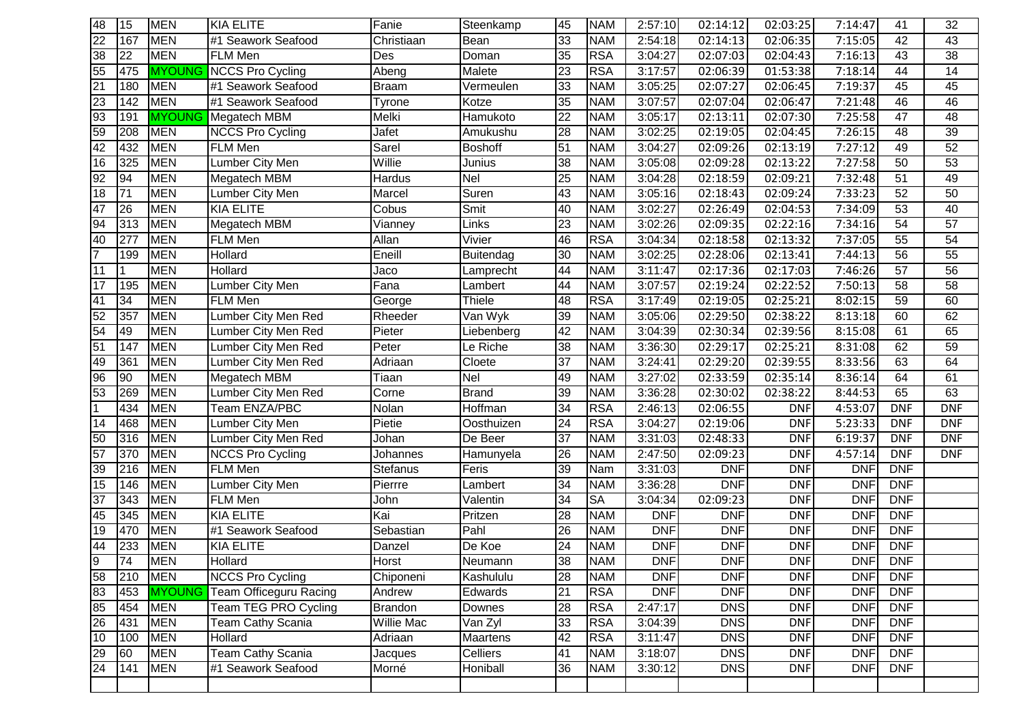| 48              | 15              | <b>MEN</b> | <b>KIA ELITE</b>                     | Fanie          | Steenkamp        | 45              | <b>NAM</b> | 2:57:10    | 02:14:12   | 02:03:25   | 7:14:47    | 41              | 32              |
|-----------------|-----------------|------------|--------------------------------------|----------------|------------------|-----------------|------------|------------|------------|------------|------------|-----------------|-----------------|
| $\overline{22}$ | 167             | <b>MEN</b> | #1 Seawork Seafood                   | Christiaan     | Bean             | 33              | <b>NAM</b> | 2:54:18    | 02:14:13   | 02:06:35   | 7:15:05    | 42              | 43              |
| 38              | 22              | <b>MEN</b> | <b>FLM Men</b>                       | Des            | Doman            | 35              | <b>RSA</b> | 3:04:27    | 02:07:03   | 02:04:43   | 7:16:13    | 43              | 38              |
| 55              | 475             |            | <b>MYOUNG NCCS Pro Cycling</b>       | Abeng          | Malete           | 23              | <b>RSA</b> | 3:17:57    | 02:06:39   | 01:53:38   | 7:18:14    | 44              | 14              |
| 21              | 180             | <b>MEN</b> | #1 Seawork Seafood                   | <b>Braam</b>   | Vermeulen        | 33              | <b>NAM</b> | 3:05:25    | 02:07:27   | 02:06:45   | 7:19:37    | 45              | 45              |
| 23              | 142             | <b>MEN</b> | #1 Seawork Seafood                   | Tyrone         | Kotze            | 35              | <b>NAM</b> | 3:07:57    | 02:07:04   | 02:06:47   | 7:21:48    | 46              | 46              |
| 93              | 191             |            | <b>MYOUNG</b> Megatech MBM           | Melki          | Hamukoto         | $\overline{22}$ | <b>NAM</b> | 3:05:17    | 02:13:11   | 02:07:30   | 7:25:58    | 47              | 48              |
| 59              | 208             | <b>MEN</b> | <b>NCCS Pro Cycling</b>              | Jafet          | Amukushu         | 28              | <b>NAM</b> | 3:02:25    | 02:19:05   | 02:04:45   | 7:26:15    | 48              | 39              |
| 42              | 432             | <b>MEN</b> | <b>FLM Men</b>                       | Sarel          | <b>Boshoff</b>   | 51              | <b>NAM</b> | 3:04:27    | 02:09:26   | 02:13:19   | 7:27:12    | 49              | 52              |
| 16              | 325             | <b>MEN</b> | Lumber City Men                      | Willie         | Junius           | 38              | <b>NAM</b> | 3:05:08    | 02:09:28   | 02:13:22   | 7:27:58    | 50              | 53              |
| 92              | $\overline{94}$ | <b>MEN</b> | Megatech MBM                         | Hardus         | Nel              | 25              | <b>NAM</b> | 3:04:28    | 02:18:59   | 02:09:21   | 7:32:48    | 51              | 49              |
| 18              | 71              | <b>MEN</b> | Lumber City Men                      | Marcel         | Suren            | 43              | <b>NAM</b> | 3:05:16    | 02:18:43   | 02:09:24   | 7:33:23    | 52              | 50              |
| 47              | $\overline{26}$ | <b>MEN</b> | <b>KIA ELITE</b>                     | Cobus          | Smit             | 40              | <b>NAM</b> | 3:02:27    | 02:26:49   | 02:04:53   | 7:34:09    | 53              | 40              |
| 94              | 313             | <b>MEN</b> | Megatech MBM                         | Vianney        | Links            | 23              | <b>NAM</b> | 3:02:26    | 02:09:35   | 02:22:16   | 7:34:16    | 54              | $\overline{57}$ |
| 40              | 277             | <b>MEN</b> | <b>FLM Men</b>                       | Allan          | Vivier           | 46              | <b>RSA</b> | 3:04:34    | 02:18:58   | 02:13:32   | 7:37:05    | 55              | 54              |
| $\overline{7}$  | 199             | <b>MEN</b> | Hollard                              | Eneill         | <b>Buitendag</b> | 30              | <b>NAM</b> | 3:02:25    | 02:28:06   | 02:13:41   | 7:44:13    | $\overline{56}$ | $\overline{55}$ |
| 11              | 1.              | <b>MEN</b> | <b>Hollard</b>                       | Jaco           | Lamprecht        | 44              | <b>NAM</b> | 3:11:47    | 02:17:36   | 02:17:03   | 7:46:26    | 57              | 56              |
| 17              | 195             | <b>MEN</b> | Lumber City Men                      | Fana           | Lambert          | 44              | <b>NAM</b> | 3:07:57    | 02:19:24   | 02:22:52   | 7:50:13    | 58              | $\overline{58}$ |
| 41              | 34              | <b>MEN</b> | <b>FLM Men</b>                       | George         | Thiele           | 48              | <b>RSA</b> | 3:17:49    | 02:19:05   | 02:25:21   | 8:02:15    | 59              | 60              |
| 52              | 357             | <b>MEN</b> | Lumber City Men Red                  | Rheeder        | Van Wyk          | 39              | <b>NAM</b> | 3:05:06    | 02:29:50   | 02:38:22   | 8:13:18    | 60              | 62              |
| 54              | 49              | <b>MEN</b> | Lumber City Men Red                  | Pieter         | Liebenberg       | 42              | <b>NAM</b> | 3:04:39    | 02:30:34   | 02:39:56   | 8:15:08    | 61              | 65              |
| 51              | 147             | <b>MEN</b> | Lumber City Men Red                  | Peter          | Le Riche         | 38              | <b>NAM</b> | 3:36:30    | 02:29:17   | 02:25:21   | 8:31:08    | 62              | 59              |
| 49              | 361             | <b>MEN</b> | Lumber City Men Red                  | Adriaan        | Cloete           | 37              | <b>NAM</b> | 3:24:41    | 02:29:20   | 02:39:55   | 8:33:56    | 63              | 64              |
| 96              | 90              | <b>MEN</b> | Megatech MBM                         | Tiaan          | <b>Nel</b>       | 49              | <b>NAM</b> | 3:27:02    | 02:33:59   | 02:35:14   | 8:36:14    | 64              | 61              |
| 53              | 269             | <b>MEN</b> | Lumber City Men Red                  | Corne          | <b>Brand</b>     | 39              | <b>NAM</b> | 3:36:28    | 02:30:02   | 02:38:22   | 8:44:53    | 65              | 63              |
| $\overline{1}$  | 434             | <b>MEN</b> | <b>Team ENZA/PBC</b>                 | Nolan          | Hoffman          | 34              | <b>RSA</b> | 2:46:13    | 02:06:55   | <b>DNF</b> | 4:53:07    | <b>DNF</b>      | <b>DNF</b>      |
| 14              | 468             | <b>MEN</b> | Lumber City Men                      | Pietie         | Oosthuizen       | 24              | <b>RSA</b> | 3:04:27    | 02:19:06   | <b>DNF</b> | 5:23:33    | <b>DNF</b>      | <b>DNF</b>      |
| 50              | 316             | <b>MEN</b> | Lumber City Men Red                  | Johan          | De Beer          | 37              | <b>NAM</b> | 3:31:03    | 02:48:33   | <b>DNF</b> | 6:19:37    | <b>DNF</b>      | <b>DNF</b>      |
| 57              | 370             | <b>MEN</b> | <b>NCCS Pro Cycling</b>              | Johannes       | Hamunyela        | 26              | <b>NAM</b> | 2:47:50    | 02:09:23   | <b>DNF</b> | 4:57:14    | <b>DNF</b>      | <b>DNF</b>      |
| 39              | 216             | <b>MEN</b> | <b>FLM Men</b>                       | Stefanus       | Feris            | 39              | Nam        | 3:31:03    | <b>DNF</b> | <b>DNF</b> | <b>DNF</b> | <b>DNF</b>      |                 |
| 15              | 146             | <b>MEN</b> | Lumber City Men                      | Pierrre        | Lambert          | 34              | <b>NAM</b> | 3:36:28    | <b>DNF</b> | <b>DNF</b> | <b>DNF</b> | <b>DNF</b>      |                 |
| 37              | 343             | <b>MEN</b> | <b>FLM Men</b>                       | John           | Valentin         | 34              | <b>SA</b>  | 3:04:34    | 02:09:23   | <b>DNF</b> | <b>DNF</b> | <b>DNF</b>      |                 |
| 45              | 345             | <b>MEN</b> | <b>KIA ELITE</b>                     | Kai            | Pritzen          | 28              | <b>NAM</b> | <b>DNF</b> | <b>DNF</b> | <b>DNF</b> | <b>DNF</b> | <b>DNF</b>      |                 |
| 19              | 470             | <b>MEN</b> | #1 Seawork Seafood                   | Sebastian      | Pahl             | 26              | <b>NAM</b> | <b>DNF</b> | <b>DNF</b> | <b>DNF</b> | <b>DNF</b> | <b>DNF</b>      |                 |
| 44              | 233             | <b>MEN</b> | <b>KIA ELITE</b>                     | Danzel         | De Koe           | 24              | <b>NAM</b> | <b>DNF</b> | <b>DNF</b> | <b>DNF</b> | <b>DNF</b> | <b>DNF</b>      |                 |
| l 9             | 74              | <b>MEN</b> | Hollard                              | Horst          | Neumann          | 38              | <b>NAM</b> | <b>DNF</b> | <b>DNF</b> | <b>DNF</b> | DNF        | <b>DNF</b>      |                 |
| 58              | 210             | <b>MEN</b> | <b>NCCS Pro Cycling</b>              | Chiponeni      | Kashululu        | 28              | <b>NAM</b> | <b>DNF</b> | <b>DNF</b> | <b>DNF</b> | <b>DNF</b> | <b>DNF</b>      |                 |
| 83              | 453             |            | <b>MYOUNG</b> Team Officeguru Racing | Andrew         | Edwards          | 21              | <b>RSA</b> | <b>DNF</b> | <b>DNF</b> | <b>DNF</b> | <b>DNF</b> | <b>DNF</b>      |                 |
| 85              | 454             | <b>MEN</b> | <b>Team TEG PRO Cycling</b>          | <b>Brandon</b> | Downes           | 28              | <b>RSA</b> | 2:47:17    | <b>DNS</b> | <b>DNF</b> | <b>DNF</b> | <b>DNF</b>      |                 |
| 26              | 431             | <b>MEN</b> | <b>Team Cathy Scania</b>             | Willie Mac     | Van Zyl          | 33              | <b>RSA</b> | 3:04:39    | <b>DNS</b> | <b>DNF</b> | <b>DNF</b> | <b>DNF</b>      |                 |
| 10              | 100             | <b>MEN</b> | Hollard                              | Adriaan        | Maartens         | 42              | <b>RSA</b> | 3:11:47    | <b>DNS</b> | <b>DNF</b> | <b>DNF</b> | <b>DNF</b>      |                 |
| 29              | 60              | <b>MEN</b> | <b>Team Cathy Scania</b>             | Jacques        | Celliers         | 41              | <b>NAM</b> | 3:18:07    | <b>DNS</b> | <b>DNF</b> | <b>DNF</b> | <b>DNF</b>      |                 |
| 24              | 141             | <b>MEN</b> | #1 Seawork Seafood                   | Morné          | Honiball         | 36              | <b>NAM</b> | 3:30:12    | <b>DNS</b> | <b>DNF</b> | <b>DNF</b> | <b>DNF</b>      |                 |
|                 |                 |            |                                      |                |                  |                 |            |            |            |            |            |                 |                 |